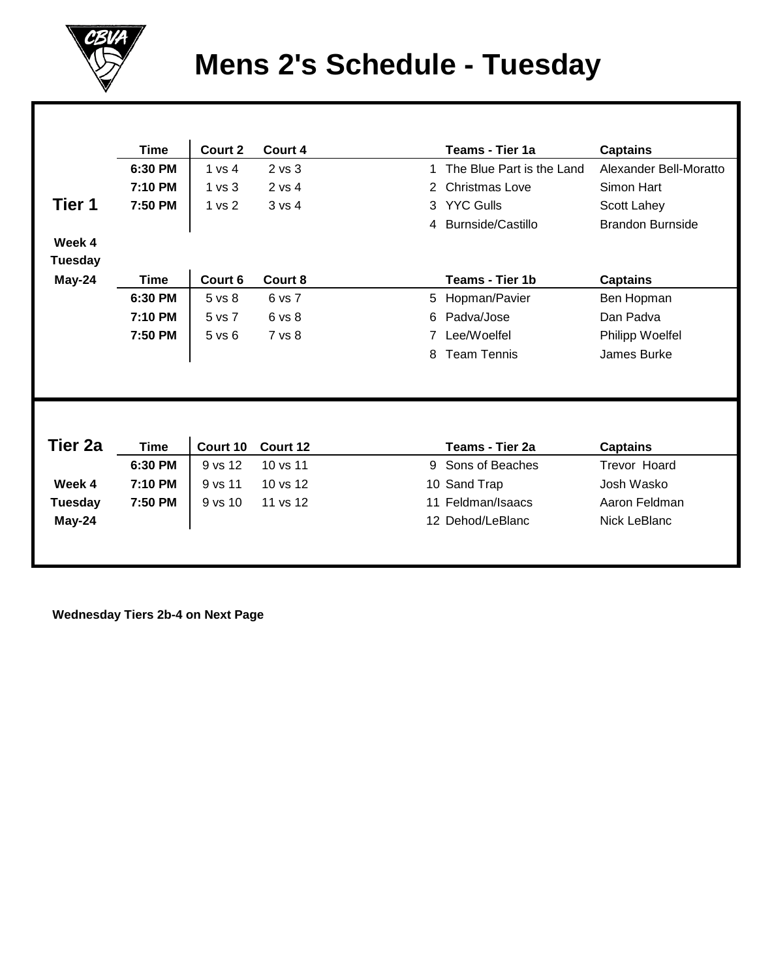

## **Mens 2's Schedule - Tuesday**

|                | Time        | Court 2           | Court 4  |   | <b>Teams - Tier 1a</b>    | <b>Captains</b>         |
|----------------|-------------|-------------------|----------|---|---------------------------|-------------------------|
|                | 6:30 PM     | 1 vs 4            | 2 vs 3   | 1 | The Blue Part is the Land | Alexander Bell-Moratto  |
|                | 7:10 PM     | 1 <sub>vs</sub> 3 | 2 vs 4   | 2 | <b>Christmas Love</b>     | Simon Hart              |
| Tier 1         | 7:50 PM     | 1 vs 2            | 3 vs 4   | 3 | <b>YYC Gulls</b>          | Scott Lahey             |
|                |             |                   |          | 4 | <b>Burnside/Castillo</b>  | <b>Brandon Burnside</b> |
| Week 4         |             |                   |          |   |                           |                         |
| <b>Tuesday</b> |             |                   |          |   |                           |                         |
| May-24         | <b>Time</b> | Court 6           | Court 8  |   | Teams - Tier 1b           | <b>Captains</b>         |
|                | 6:30 PM     | 5 vs 8            | 6 vs 7   | 5 | Hopman/Pavier             | Ben Hopman              |
|                | 7:10 PM     | 5 vs 7            | 6 vs 8   | 6 | Padva/Jose                | Dan Padva               |
|                | 7:50 PM     | $5$ vs $6$        | 7 vs 8   |   | Lee/Woelfel               | Philipp Woelfel         |
|                |             |                   |          | 8 | <b>Team Tennis</b>        | James Burke             |
|                |             |                   |          |   |                           |                         |
|                |             |                   |          |   |                           |                         |
|                |             |                   |          |   |                           |                         |
|                |             |                   |          |   |                           |                         |
| Tier 2a        | <b>Time</b> | Court 10          | Court 12 |   | Teams - Tier 2a           | <b>Captains</b>         |
|                | 6:30 PM     | 9 vs 12           | 10 vs 11 | 9 | Sons of Beaches           | <b>Trevor Hoard</b>     |
| Week 4         | 7:10 PM     | 9 vs 11           | 10 vs 12 |   | 10 Sand Trap              | Josh Wasko              |
| <b>Tuesday</b> | 7:50 PM     | $9$ vs $10$       | 11 vs 12 |   | 11 Feldman/Isaacs         | Aaron Feldman           |
| May-24         |             |                   |          |   | 12 Dehod/LeBlanc          | Nick LeBlanc            |
|                |             |                   |          |   |                           |                         |
|                |             |                   |          |   |                           |                         |

 **Wednesday Tiers 2b-4 on Next Page**